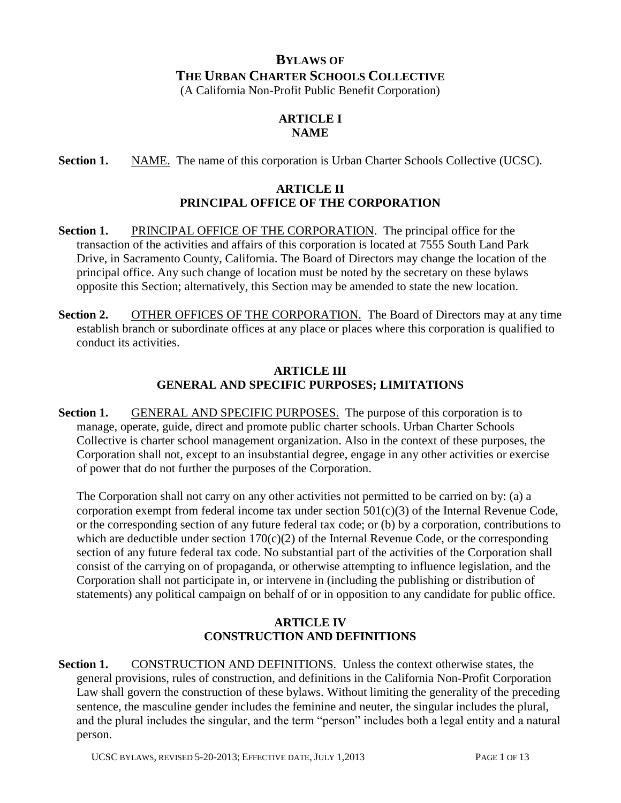# **BYLAWS OF THE URBAN CHARTER SCHOOLS COLLECTIVE**

(A California Non-Profit Public Benefit Corporation)

# **ARTICLE I NAME**

**Section 1.** NAME. The name of this corporation is Urban Charter Schools Collective (UCSC).

## **ARTICLE II PRINCIPAL OFFICE OF THE CORPORATION**

- **Section 1.** PRINCIPAL OFFICE OF THE CORPORATION. The principal office for the transaction of the activities and affairs of this corporation is located at 7555 South Land Park Drive, in Sacramento County, California. The Board of Directors may change the location of the principal office. Any such change of location must be noted by the secretary on these bylaws opposite this Section; alternatively, this Section may be amended to state the new location.
- **Section 2.** OTHER OFFICES OF THE CORPORATION. The Board of Directors may at any time establish branch or subordinate offices at any place or places where this corporation is qualified to conduct its activities.

#### **ARTICLE III GENERAL AND SPECIFIC PURPOSES; LIMITATIONS**

**Section 1.** GENERAL AND SPECIFIC PURPOSES. The purpose of this corporation is to manage, operate, guide, direct and promote public charter schools. Urban Charter Schools Collective is charter school management organization. Also in the context of these purposes, the Corporation shall not, except to an insubstantial degree, engage in any other activities or exercise of power that do not further the purposes of the Corporation.

The Corporation shall not carry on any other activities not permitted to be carried on by: (a) a corporation exempt from federal income tax under section 501(c)(3) of the Internal Revenue Code, or the corresponding section of any future federal tax code; or (b) by a corporation, contributions to which are deductible under section  $170(c)(2)$  of the Internal Revenue Code, or the corresponding section of any future federal tax code. No substantial part of the activities of the Corporation shall consist of the carrying on of propaganda, or otherwise attempting to influence legislation, and the Corporation shall not participate in, or intervene in (including the publishing or distribution of statements) any political campaign on behalf of or in opposition to any candidate for public office.

# **ARTICLE IV CONSTRUCTION AND DEFINITIONS**

**Section 1.** CONSTRUCTION AND DEFINITIONS. Unless the context otherwise states, the general provisions, rules of construction, and definitions in the California Non-Profit Corporation Law shall govern the construction of these bylaws. Without limiting the generality of the preceding sentence, the masculine gender includes the feminine and neuter, the singular includes the plural, and the plural includes the singular, and the term "person" includes both a legal entity and a natural person.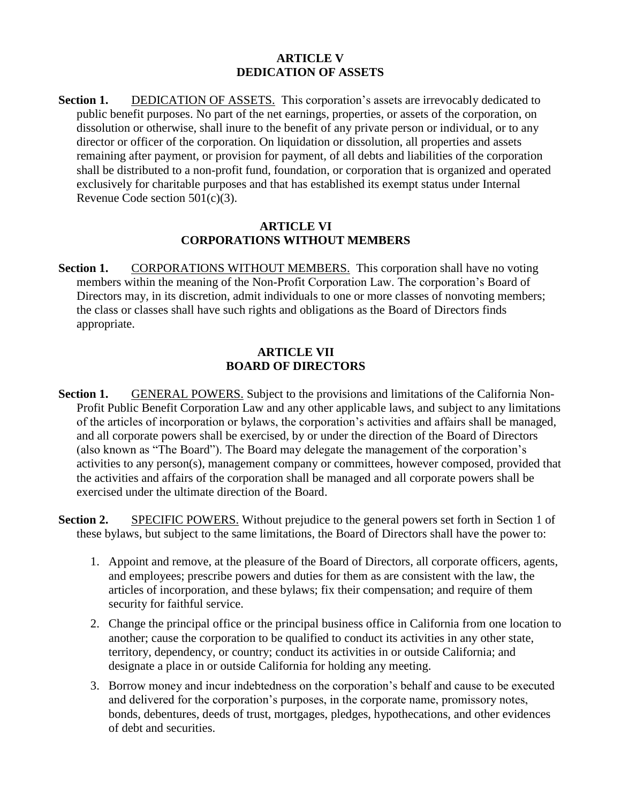#### **ARTICLE V DEDICATION OF ASSETS**

**Section 1.** DEDICATION OF ASSETS. This corporation's assets are irrevocably dedicated to public benefit purposes. No part of the net earnings, properties, or assets of the corporation, on dissolution or otherwise, shall inure to the benefit of any private person or individual, or to any director or officer of the corporation. On liquidation or dissolution, all properties and assets remaining after payment, or provision for payment, of all debts and liabilities of the corporation shall be distributed to a non-profit fund, foundation, or corporation that is organized and operated exclusively for charitable purposes and that has established its exempt status under Internal Revenue Code section 501(c)(3).

#### **ARTICLE VI CORPORATIONS WITHOUT MEMBERS**

**Section 1.** CORPORATIONS WITHOUT MEMBERS. This corporation shall have no voting members within the meaning of the Non-Profit Corporation Law. The corporation's Board of Directors may, in its discretion, admit individuals to one or more classes of nonvoting members; the class or classes shall have such rights and obligations as the Board of Directors finds appropriate.

## **ARTICLE VII BOARD OF DIRECTORS**

- **Section 1.** GENERAL POWERS. Subject to the provisions and limitations of the California Non-Profit Public Benefit Corporation Law and any other applicable laws, and subject to any limitations of the articles of incorporation or bylaws, the corporation's activities and affairs shall be managed, and all corporate powers shall be exercised, by or under the direction of the Board of Directors (also known as "The Board"). The Board may delegate the management of the corporation's activities to any person(s), management company or committees, however composed, provided that the activities and affairs of the corporation shall be managed and all corporate powers shall be exercised under the ultimate direction of the Board.
- **Section 2.** SPECIFIC POWERS. Without prejudice to the general powers set forth in Section 1 of these bylaws, but subject to the same limitations, the Board of Directors shall have the power to:
	- 1. Appoint and remove, at the pleasure of the Board of Directors, all corporate officers, agents, and employees; prescribe powers and duties for them as are consistent with the law, the articles of incorporation, and these bylaws; fix their compensation; and require of them security for faithful service.
	- 2. Change the principal office or the principal business office in California from one location to another; cause the corporation to be qualified to conduct its activities in any other state, territory, dependency, or country; conduct its activities in or outside California; and designate a place in or outside California for holding any meeting.
	- 3. Borrow money and incur indebtedness on the corporation's behalf and cause to be executed and delivered for the corporation's purposes, in the corporate name, promissory notes, bonds, debentures, deeds of trust, mortgages, pledges, hypothecations, and other evidences of debt and securities.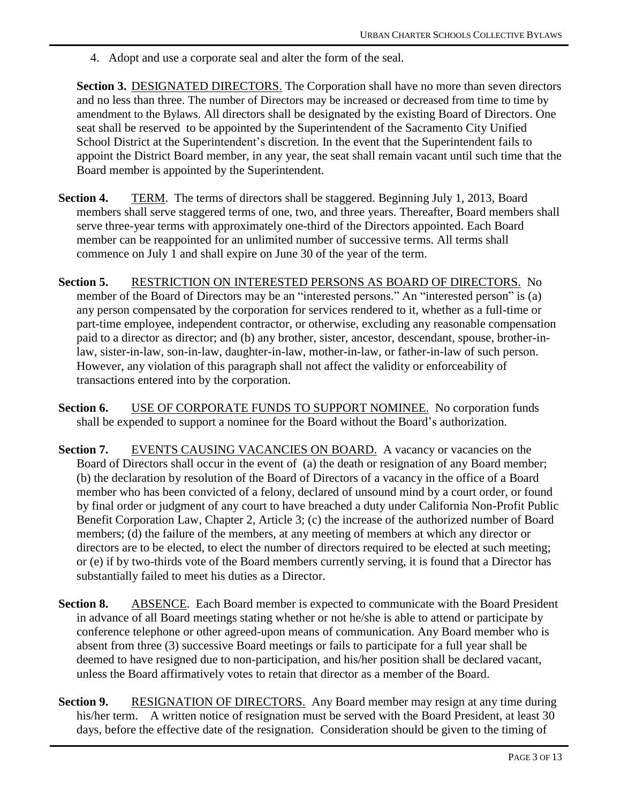4. Adopt and use a corporate seal and alter the form of the seal.

**Section 3.** DESIGNATED DIRECTORS. The Corporation shall have no more than seven directors and no less than three. The number of Directors may be increased or decreased from time to time by amendment to the Bylaws. All directors shall be designated by the existing Board of Directors. One seat shall be reserved to be appointed by the Superintendent of the Sacramento City Unified School District at the Superintendent's discretion. In the event that the Superintendent fails to appoint the District Board member, in any year, the seat shall remain vacant until such time that the Board member is appointed by the Superintendent.

- **Section 4.** TERM. The terms of directors shall be staggered. Beginning July 1, 2013, Board members shall serve staggered terms of one, two, and three years. Thereafter, Board members shall serve three-year terms with approximately one-third of the Directors appointed. Each Board member can be reappointed for an unlimited number of successive terms. All terms shall commence on July 1 and shall expire on June 30 of the year of the term.
- **Section 5.** RESTRICTION ON INTERESTED PERSONS AS BOARD OF DIRECTORS. No member of the Board of Directors may be an "interested persons." An "interested person" is (a) any person compensated by the corporation for services rendered to it, whether as a full-time or part-time employee, independent contractor, or otherwise, excluding any reasonable compensation paid to a director as director; and (b) any brother, sister, ancestor, descendant, spouse, brother-inlaw, sister-in-law, son-in-law, daughter-in-law, mother-in-law, or father-in-law of such person. However, any violation of this paragraph shall not affect the validity or enforceability of transactions entered into by the corporation.
- Section 6. USE OF CORPORATE FUNDS TO SUPPORT NOMINEE. No corporation funds shall be expended to support a nominee for the Board without the Board's authorization.
- **Section 7.** EVENTS CAUSING VACANCIES ON BOARD. A vacancy or vacancies on the Board of Directors shall occur in the event of (a) the death or resignation of any Board member; (b) the declaration by resolution of the Board of Directors of a vacancy in the office of a Board member who has been convicted of a felony, declared of unsound mind by a court order, or found by final order or judgment of any court to have breached a duty under California Non-Profit Public Benefit Corporation Law, Chapter 2, Article 3; (c) the increase of the authorized number of Board members; (d) the failure of the members, at any meeting of members at which any director or directors are to be elected, to elect the number of directors required to be elected at such meeting; or (e) if by two-thirds vote of the Board members currently serving, it is found that a Director has substantially failed to meet his duties as a Director.
- **Section 8.** ABSENCE. Each Board member is expected to communicate with the Board President in advance of all Board meetings stating whether or not he/she is able to attend or participate by conference telephone or other agreed-upon means of communication. Any Board member who is absent from three (3) successive Board meetings or fails to participate for a full year shall be deemed to have resigned due to non-participation, and his/her position shall be declared vacant, unless the Board affirmatively votes to retain that director as a member of the Board.
- **Section 9.** RESIGNATION OF DIRECTORS. Any Board member may resign at any time during his/her term. A written notice of resignation must be served with the Board President, at least 30 days, before the effective date of the resignation. Consideration should be given to the timing of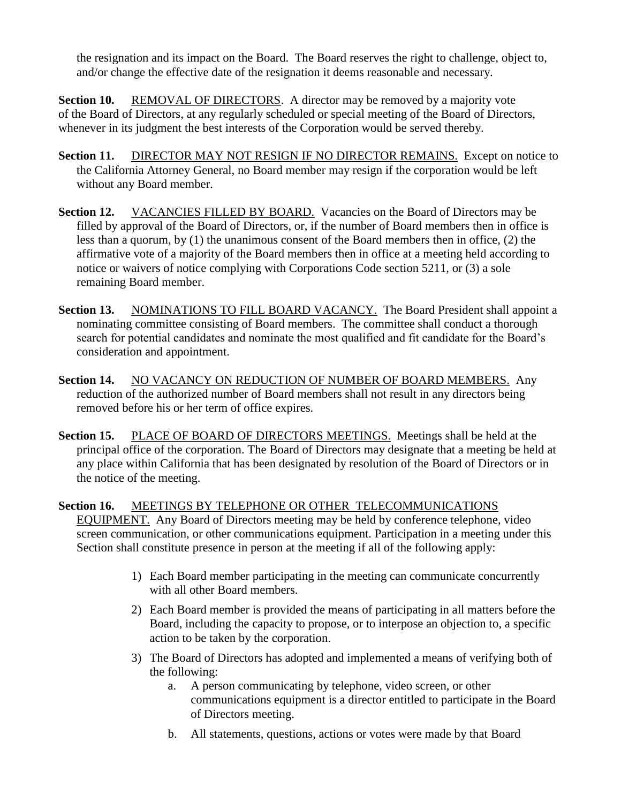the resignation and its impact on the Board. The Board reserves the right to challenge, object to, and/or change the effective date of the resignation it deems reasonable and necessary.

**Section 10.** REMOVAL OF DIRECTORS. A director may be removed by a majority vote of the Board of Directors, at any regularly scheduled or special meeting of the Board of Directors, whenever in its judgment the best interests of the Corporation would be served thereby.

- **Section 11.** DIRECTOR MAY NOT RESIGN IF NO DIRECTOR REMAINS. Except on notice to the California Attorney General, no Board member may resign if the corporation would be left without any Board member.
- Section 12. VACANCIES FILLED BY BOARD. Vacancies on the Board of Directors may be filled by approval of the Board of Directors, or, if the number of Board members then in office is less than a quorum, by (1) the unanimous consent of the Board members then in office, (2) the affirmative vote of a majority of the Board members then in office at a meeting held according to notice or waivers of notice complying with Corporations Code section 5211, or (3) a sole remaining Board member.
- **Section 13.** NOMINATIONS TO FILL BOARD VACANCY. The Board President shall appoint a nominating committee consisting of Board members. The committee shall conduct a thorough search for potential candidates and nominate the most qualified and fit candidate for the Board's consideration and appointment.
- Section 14. NO VACANCY ON REDUCTION OF NUMBER OF BOARD MEMBERS. Any reduction of the authorized number of Board members shall not result in any directors being removed before his or her term of office expires.
- **Section 15.** PLACE OF BOARD OF DIRECTORS MEETINGS. Meetings shall be held at the principal office of the corporation. The Board of Directors may designate that a meeting be held at any place within California that has been designated by resolution of the Board of Directors or in the notice of the meeting.

**Section 16.** MEETINGS BY TELEPHONE OR OTHER TELECOMMUNICATIONS EQUIPMENT. Any Board of Directors meeting may be held by conference telephone, video screen communication, or other communications equipment. Participation in a meeting under this Section shall constitute presence in person at the meeting if all of the following apply:

- 1) Each Board member participating in the meeting can communicate concurrently with all other Board members.
- 2) Each Board member is provided the means of participating in all matters before the Board, including the capacity to propose, or to interpose an objection to, a specific action to be taken by the corporation.
- 3) The Board of Directors has adopted and implemented a means of verifying both of the following:
	- a. A person communicating by telephone, video screen, or other communications equipment is a director entitled to participate in the Board of Directors meeting.
	- b. All statements, questions, actions or votes were made by that Board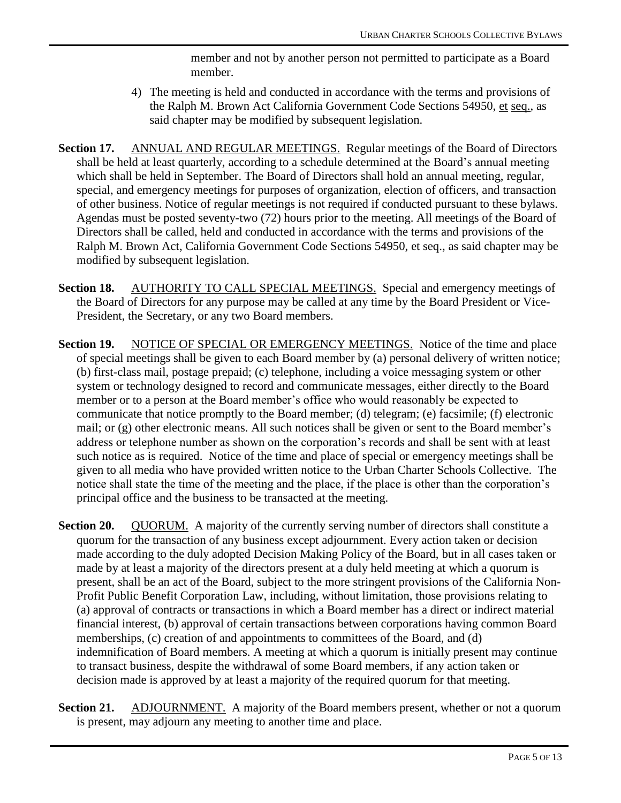member and not by another person not permitted to participate as a Board member.

- 4) The meeting is held and conducted in accordance with the terms and provisions of the Ralph M. Brown Act California Government Code Sections 54950, et seq., as said chapter may be modified by subsequent legislation.
- **Section 17.** ANNUAL AND REGULAR MEETINGS. Regular meetings of the Board of Directors shall be held at least quarterly, according to a schedule determined at the Board's annual meeting which shall be held in September. The Board of Directors shall hold an annual meeting, regular, special, and emergency meetings for purposes of organization, election of officers, and transaction of other business. Notice of regular meetings is not required if conducted pursuant to these bylaws. Agendas must be posted seventy-two (72) hours prior to the meeting. All meetings of the Board of Directors shall be called, held and conducted in accordance with the terms and provisions of the Ralph M. Brown Act, California Government Code Sections 54950, et seq., as said chapter may be modified by subsequent legislation.
- **Section 18.** AUTHORITY TO CALL SPECIAL MEETINGS. Special and emergency meetings of the Board of Directors for any purpose may be called at any time by the Board President or Vice-President, the Secretary, or any two Board members.
- **Section 19.** NOTICE OF SPECIAL OR EMERGENCY MEETINGS. Notice of the time and place of special meetings shall be given to each Board member by (a) personal delivery of written notice; (b) first-class mail, postage prepaid; (c) telephone, including a voice messaging system or other system or technology designed to record and communicate messages, either directly to the Board member or to a person at the Board member's office who would reasonably be expected to communicate that notice promptly to the Board member; (d) telegram; (e) facsimile; (f) electronic mail; or (g) other electronic means. All such notices shall be given or sent to the Board member's address or telephone number as shown on the corporation's records and shall be sent with at least such notice as is required. Notice of the time and place of special or emergency meetings shall be given to all media who have provided written notice to the Urban Charter Schools Collective. The notice shall state the time of the meeting and the place, if the place is other than the corporation's principal office and the business to be transacted at the meeting.
- **Section 20.** QUORUM. A majority of the currently serving number of directors shall constitute a quorum for the transaction of any business except adjournment. Every action taken or decision made according to the duly adopted Decision Making Policy of the Board, but in all cases taken or made by at least a majority of the directors present at a duly held meeting at which a quorum is present, shall be an act of the Board, subject to the more stringent provisions of the California Non-Profit Public Benefit Corporation Law, including, without limitation, those provisions relating to (a) approval of contracts or transactions in which a Board member has a direct or indirect material financial interest, (b) approval of certain transactions between corporations having common Board memberships, (c) creation of and appointments to committees of the Board, and (d) indemnification of Board members. A meeting at which a quorum is initially present may continue to transact business, despite the withdrawal of some Board members, if any action taken or decision made is approved by at least a majority of the required quorum for that meeting.
- **Section 21.** ADJOURNMENT. A majority of the Board members present, whether or not a quorum is present, may adjourn any meeting to another time and place.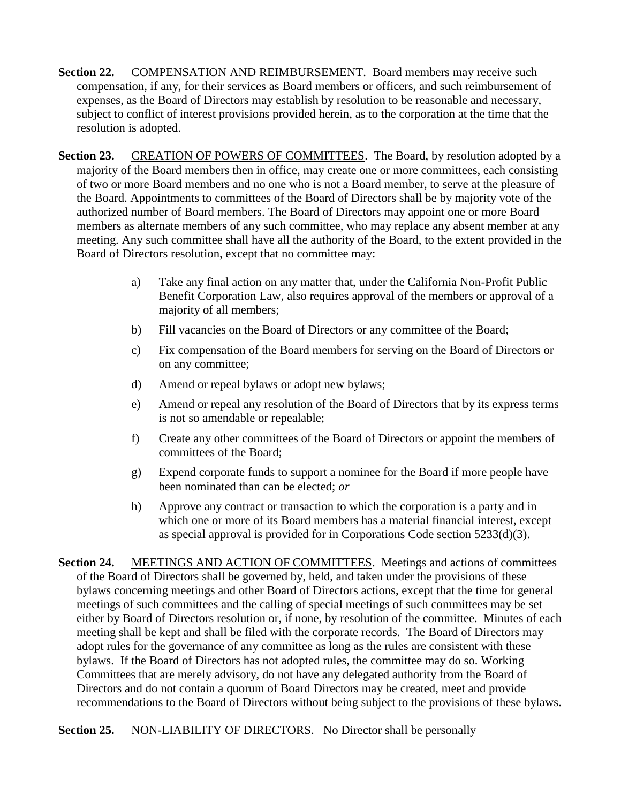- **Section 22.** COMPENSATION AND REIMBURSEMENT. Board members may receive such compensation, if any, for their services as Board members or officers, and such reimbursement of expenses, as the Board of Directors may establish by resolution to be reasonable and necessary, subject to conflict of interest provisions provided herein, as to the corporation at the time that the resolution is adopted.
- **Section 23.** CREATION OF POWERS OF COMMITTEES. The Board, by resolution adopted by a majority of the Board members then in office, may create one or more committees, each consisting of two or more Board members and no one who is not a Board member, to serve at the pleasure of the Board. Appointments to committees of the Board of Directors shall be by majority vote of the authorized number of Board members. The Board of Directors may appoint one or more Board members as alternate members of any such committee, who may replace any absent member at any meeting. Any such committee shall have all the authority of the Board, to the extent provided in the Board of Directors resolution, except that no committee may:
	- a) Take any final action on any matter that, under the California Non-Profit Public Benefit Corporation Law, also requires approval of the members or approval of a majority of all members;
	- b) Fill vacancies on the Board of Directors or any committee of the Board;
	- c) Fix compensation of the Board members for serving on the Board of Directors or on any committee;
	- d) Amend or repeal bylaws or adopt new bylaws;
	- e) Amend or repeal any resolution of the Board of Directors that by its express terms is not so amendable or repealable;
	- f) Create any other committees of the Board of Directors or appoint the members of committees of the Board;
	- g) Expend corporate funds to support a nominee for the Board if more people have been nominated than can be elected; *or*
	- h) Approve any contract or transaction to which the corporation is a party and in which one or more of its Board members has a material financial interest, except as special approval is provided for in Corporations Code section 5233(d)(3).

**Section 24.** MEETINGS AND ACTION OF COMMITTEES. Meetings and actions of committees of the Board of Directors shall be governed by, held, and taken under the provisions of these bylaws concerning meetings and other Board of Directors actions, except that the time for general meetings of such committees and the calling of special meetings of such committees may be set either by Board of Directors resolution or, if none, by resolution of the committee. Minutes of each meeting shall be kept and shall be filed with the corporate records. The Board of Directors may adopt rules for the governance of any committee as long as the rules are consistent with these bylaws. If the Board of Directors has not adopted rules, the committee may do so. Working Committees that are merely advisory, do not have any delegated authority from the Board of Directors and do not contain a quorum of Board Directors may be created, meet and provide recommendations to the Board of Directors without being subject to the provisions of these bylaws.

**Section 25.** NON-LIABILITY OF DIRECTORS. No Director shall be personally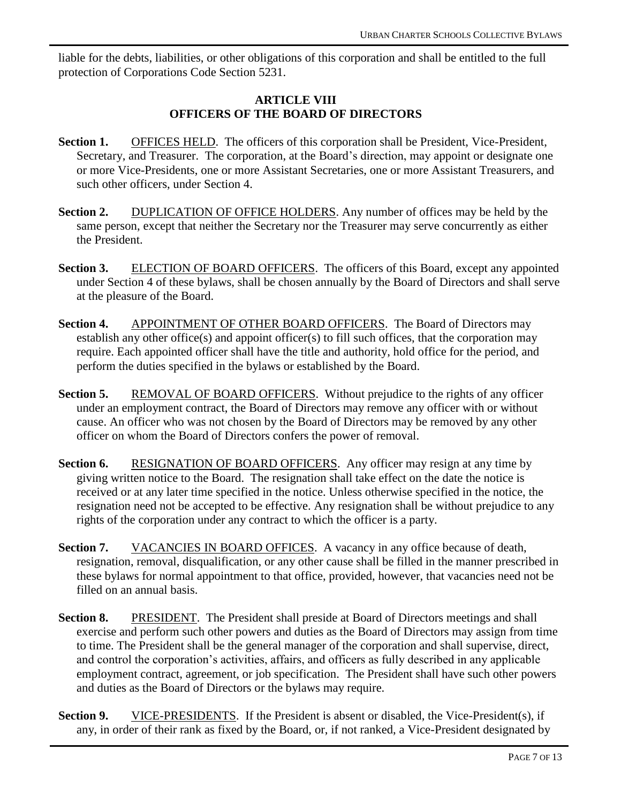liable for the debts, liabilities, or other obligations of this corporation and shall be entitled to the full protection of Corporations Code Section 5231.

#### **ARTICLE VIII OFFICERS OF THE BOARD OF DIRECTORS**

- **Section 1.** OFFICES HELD. The officers of this corporation shall be President, Vice-President, Secretary, and Treasurer. The corporation, at the Board's direction, may appoint or designate one or more Vice-Presidents, one or more Assistant Secretaries, one or more Assistant Treasurers, and such other officers, under Section 4.
- **Section 2.** DUPLICATION OF OFFICE HOLDERS. Any number of offices may be held by the same person, except that neither the Secretary nor the Treasurer may serve concurrently as either the President.
- **Section 3.** ELECTION OF BOARD OFFICERS. The officers of this Board, except any appointed under Section 4 of these bylaws, shall be chosen annually by the Board of Directors and shall serve at the pleasure of the Board.
- **Section 4.** APPOINTMENT OF OTHER BOARD OFFICERS. The Board of Directors may establish any other office(s) and appoint officer(s) to fill such offices, that the corporation may require. Each appointed officer shall have the title and authority, hold office for the period, and perform the duties specified in the bylaws or established by the Board.
- **Section 5.** REMOVAL OF BOARD OFFICERS. Without prejudice to the rights of any officer under an employment contract, the Board of Directors may remove any officer with or without cause. An officer who was not chosen by the Board of Directors may be removed by any other officer on whom the Board of Directors confers the power of removal.
- **Section 6.** RESIGNATION OF BOARD OFFICERS. Any officer may resign at any time by giving written notice to the Board. The resignation shall take effect on the date the notice is received or at any later time specified in the notice. Unless otherwise specified in the notice, the resignation need not be accepted to be effective. Any resignation shall be without prejudice to any rights of the corporation under any contract to which the officer is a party.
- **Section 7.** VACANCIES IN BOARD OFFICES. A vacancy in any office because of death, resignation, removal, disqualification, or any other cause shall be filled in the manner prescribed in these bylaws for normal appointment to that office, provided, however, that vacancies need not be filled on an annual basis.
- **Section 8.** PRESIDENT. The President shall preside at Board of Directors meetings and shall exercise and perform such other powers and duties as the Board of Directors may assign from time to time. The President shall be the general manager of the corporation and shall supervise, direct, and control the corporation's activities, affairs, and officers as fully described in any applicable employment contract, agreement, or job specification. The President shall have such other powers and duties as the Board of Directors or the bylaws may require.
- **Section 9.** VICE-PRESIDENTS. If the President is absent or disabled, the Vice-President(s), if any, in order of their rank as fixed by the Board, or, if not ranked, a Vice-President designated by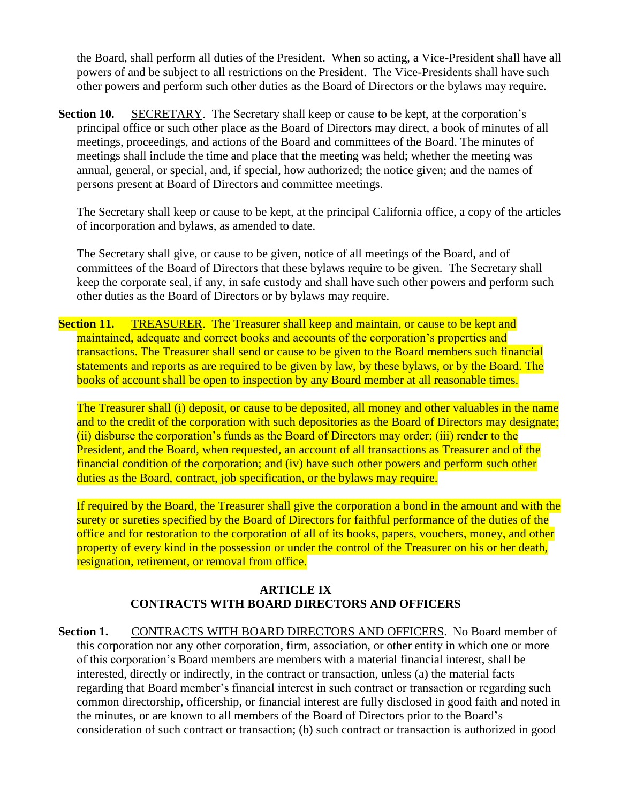the Board, shall perform all duties of the President. When so acting, a Vice-President shall have all powers of and be subject to all restrictions on the President. The Vice-Presidents shall have such other powers and perform such other duties as the Board of Directors or the bylaws may require.

**Section 10.** SECRETARY. The Secretary shall keep or cause to be kept, at the corporation's principal office or such other place as the Board of Directors may direct, a book of minutes of all meetings, proceedings, and actions of the Board and committees of the Board. The minutes of meetings shall include the time and place that the meeting was held; whether the meeting was annual, general, or special, and, if special, how authorized; the notice given; and the names of persons present at Board of Directors and committee meetings.

The Secretary shall keep or cause to be kept, at the principal California office, a copy of the articles of incorporation and bylaws, as amended to date.

The Secretary shall give, or cause to be given, notice of all meetings of the Board, and of committees of the Board of Directors that these bylaws require to be given. The Secretary shall keep the corporate seal, if any, in safe custody and shall have such other powers and perform such other duties as the Board of Directors or by bylaws may require.

**Section 11.** TREASURER. The Treasurer shall keep and maintain, or cause to be kept and maintained, adequate and correct books and accounts of the corporation's properties and transactions. The Treasurer shall send or cause to be given to the Board members such financial statements and reports as are required to be given by law, by these bylaws, or by the Board. The books of account shall be open to inspection by any Board member at all reasonable times.

The Treasurer shall (i) deposit, or cause to be deposited, all money and other valuables in the name and to the credit of the corporation with such depositories as the Board of Directors may designate; (ii) disburse the corporation's funds as the Board of Directors may order; (iii) render to the President, and the Board, when requested, an account of all transactions as Treasurer and of the financial condition of the corporation; and (iv) have such other powers and perform such other duties as the Board, contract, job specification, or the bylaws may require.

If required by the Board, the Treasurer shall give the corporation a bond in the amount and with the surety or sureties specified by the Board of Directors for faithful performance of the duties of the office and for restoration to the corporation of all of its books, papers, vouchers, money, and other property of every kind in the possession or under the control of the Treasurer on his or her death, resignation, retirement, or removal from office.

# **ARTICLE IX CONTRACTS WITH BOARD DIRECTORS AND OFFICERS**

Section 1. CONTRACTS WITH BOARD DIRECTORS AND OFFICERS. No Board member of this corporation nor any other corporation, firm, association, or other entity in which one or more of this corporation's Board members are members with a material financial interest, shall be interested, directly or indirectly, in the contract or transaction, unless (a) the material facts regarding that Board member's financial interest in such contract or transaction or regarding such common directorship, officership, or financial interest are fully disclosed in good faith and noted in the minutes, or are known to all members of the Board of Directors prior to the Board's consideration of such contract or transaction; (b) such contract or transaction is authorized in good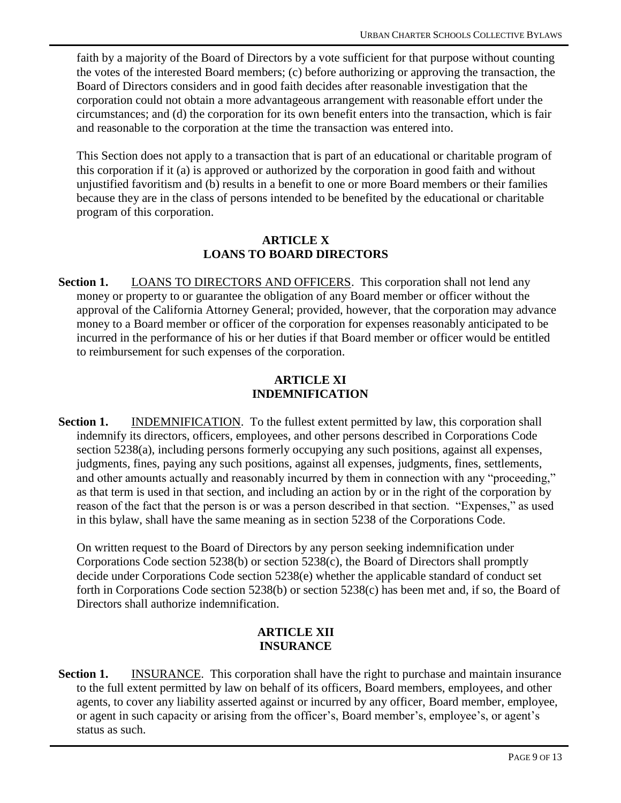faith by a majority of the Board of Directors by a vote sufficient for that purpose without counting the votes of the interested Board members; (c) before authorizing or approving the transaction, the Board of Directors considers and in good faith decides after reasonable investigation that the corporation could not obtain a more advantageous arrangement with reasonable effort under the circumstances; and (d) the corporation for its own benefit enters into the transaction, which is fair and reasonable to the corporation at the time the transaction was entered into.

This Section does not apply to a transaction that is part of an educational or charitable program of this corporation if it (a) is approved or authorized by the corporation in good faith and without unjustified favoritism and (b) results in a benefit to one or more Board members or their families because they are in the class of persons intended to be benefited by the educational or charitable program of this corporation.

#### **ARTICLE X LOANS TO BOARD DIRECTORS**

**Section 1.** LOANS TO DIRECTORS AND OFFICERS. This corporation shall not lend any money or property to or guarantee the obligation of any Board member or officer without the approval of the California Attorney General; provided, however, that the corporation may advance money to a Board member or officer of the corporation for expenses reasonably anticipated to be incurred in the performance of his or her duties if that Board member or officer would be entitled to reimbursement for such expenses of the corporation.

## **ARTICLE XI INDEMNIFICATION**

**Section 1.** INDEMNIFICATION. To the fullest extent permitted by law, this corporation shall indemnify its directors, officers, employees, and other persons described in Corporations Code section 5238(a), including persons formerly occupying any such positions, against all expenses, judgments, fines, paying any such positions, against all expenses, judgments, fines, settlements, and other amounts actually and reasonably incurred by them in connection with any "proceeding," as that term is used in that section, and including an action by or in the right of the corporation by reason of the fact that the person is or was a person described in that section. "Expenses," as used in this bylaw, shall have the same meaning as in section 5238 of the Corporations Code.

On written request to the Board of Directors by any person seeking indemnification under Corporations Code section 5238(b) or section 5238(c), the Board of Directors shall promptly decide under Corporations Code section 5238(e) whether the applicable standard of conduct set forth in Corporations Code section 5238(b) or section 5238(c) has been met and, if so, the Board of Directors shall authorize indemnification.

#### **ARTICLE XII INSURANCE**

**Section 1.** INSURANCE. This corporation shall have the right to purchase and maintain insurance to the full extent permitted by law on behalf of its officers, Board members, employees, and other agents, to cover any liability asserted against or incurred by any officer, Board member, employee, or agent in such capacity or arising from the officer's, Board member's, employee's, or agent's status as such.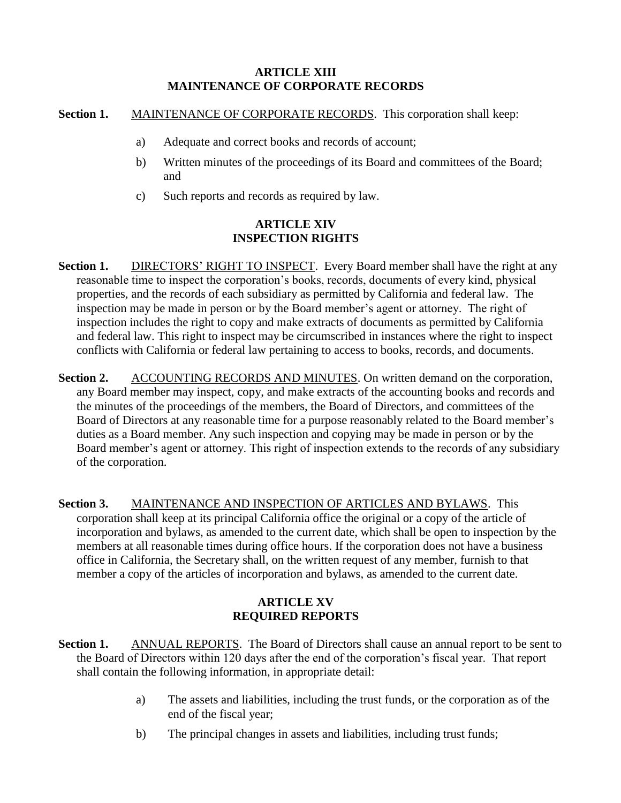## **ARTICLE XIII MAINTENANCE OF CORPORATE RECORDS**

## **Section 1.** MAINTENANCE OF CORPORATE RECORDS. This corporation shall keep:

- a) Adequate and correct books and records of account;
- b) Written minutes of the proceedings of its Board and committees of the Board; and
- c) Such reports and records as required by law.

## **ARTICLE XIV INSPECTION RIGHTS**

- **Section 1.** DIRECTORS' RIGHT TO INSPECT. Every Board member shall have the right at any reasonable time to inspect the corporation's books, records, documents of every kind, physical properties, and the records of each subsidiary as permitted by California and federal law. The inspection may be made in person or by the Board member's agent or attorney. The right of inspection includes the right to copy and make extracts of documents as permitted by California and federal law. This right to inspect may be circumscribed in instances where the right to inspect conflicts with California or federal law pertaining to access to books, records, and documents.
- **Section 2.** ACCOUNTING RECORDS AND MINUTES. On written demand on the corporation, any Board member may inspect, copy, and make extracts of the accounting books and records and the minutes of the proceedings of the members, the Board of Directors, and committees of the Board of Directors at any reasonable time for a purpose reasonably related to the Board member's duties as a Board member. Any such inspection and copying may be made in person or by the Board member's agent or attorney. This right of inspection extends to the records of any subsidiary of the corporation.
- **Section 3.** MAINTENANCE AND INSPECTION OF ARTICLES AND BYLAWS. This corporation shall keep at its principal California office the original or a copy of the article of incorporation and bylaws, as amended to the current date, which shall be open to inspection by the members at all reasonable times during office hours. If the corporation does not have a business office in California, the Secretary shall, on the written request of any member, furnish to that member a copy of the articles of incorporation and bylaws, as amended to the current date.

# **ARTICLE XV REQUIRED REPORTS**

- Section 1. ANNUAL REPORTS. The Board of Directors shall cause an annual report to be sent to the Board of Directors within 120 days after the end of the corporation's fiscal year. That report shall contain the following information, in appropriate detail:
	- a) The assets and liabilities, including the trust funds, or the corporation as of the end of the fiscal year;
	- b) The principal changes in assets and liabilities, including trust funds;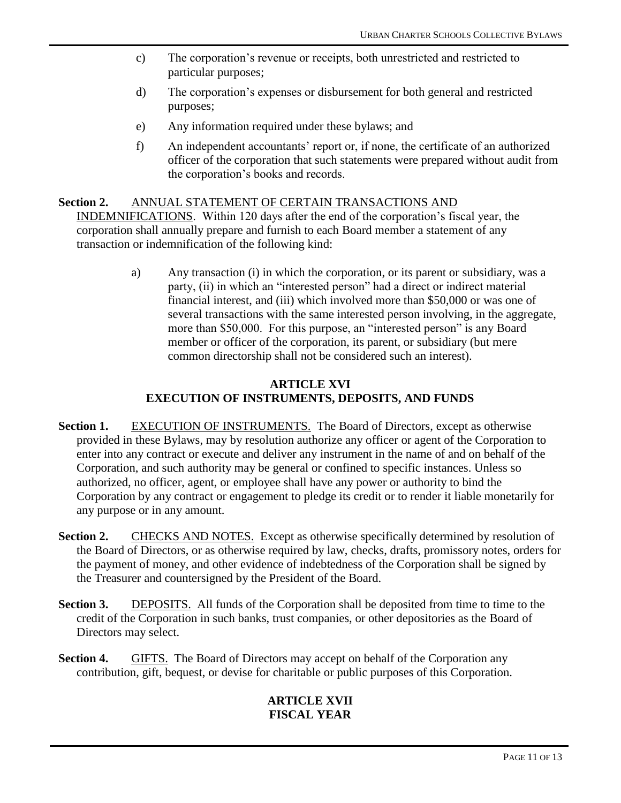- c) The corporation's revenue or receipts, both unrestricted and restricted to particular purposes;
- d) The corporation's expenses or disbursement for both general and restricted purposes;
- e) Any information required under these bylaws; and
- f) An independent accountants' report or, if none, the certificate of an authorized officer of the corporation that such statements were prepared without audit from the corporation's books and records.

#### Section 2. ANNUAL STATEMENT OF CERTAIN TRANSACTIONS AND

INDEMNIFICATIONS. Within 120 days after the end of the corporation's fiscal year, the corporation shall annually prepare and furnish to each Board member a statement of any transaction or indemnification of the following kind:

> a) Any transaction (i) in which the corporation, or its parent or subsidiary, was a party, (ii) in which an "interested person" had a direct or indirect material financial interest, and (iii) which involved more than \$50,000 or was one of several transactions with the same interested person involving, in the aggregate, more than \$50,000. For this purpose, an "interested person" is any Board member or officer of the corporation, its parent, or subsidiary (but mere common directorship shall not be considered such an interest).

## **ARTICLE XVI EXECUTION OF INSTRUMENTS, DEPOSITS, AND FUNDS**

- **Section 1.** EXECUTION OF INSTRUMENTS. The Board of Directors, except as otherwise provided in these Bylaws, may by resolution authorize any officer or agent of the Corporation to enter into any contract or execute and deliver any instrument in the name of and on behalf of the Corporation, and such authority may be general or confined to specific instances. Unless so authorized, no officer, agent, or employee shall have any power or authority to bind the Corporation by any contract or engagement to pledge its credit or to render it liable monetarily for any purpose or in any amount.
- **Section 2.** CHECKS AND NOTES. Except as otherwise specifically determined by resolution of the Board of Directors, or as otherwise required by law, checks, drafts, promissory notes, orders for the payment of money, and other evidence of indebtedness of the Corporation shall be signed by the Treasurer and countersigned by the President of the Board.
- **Section 3.** DEPOSITS. All funds of the Corporation shall be deposited from time to time to the credit of the Corporation in such banks, trust companies, or other depositories as the Board of Directors may select.
- **Section 4.** GIFTS. The Board of Directors may accept on behalf of the Corporation any contribution, gift, bequest, or devise for charitable or public purposes of this Corporation.

#### **ARTICLE XVII FISCAL YEAR**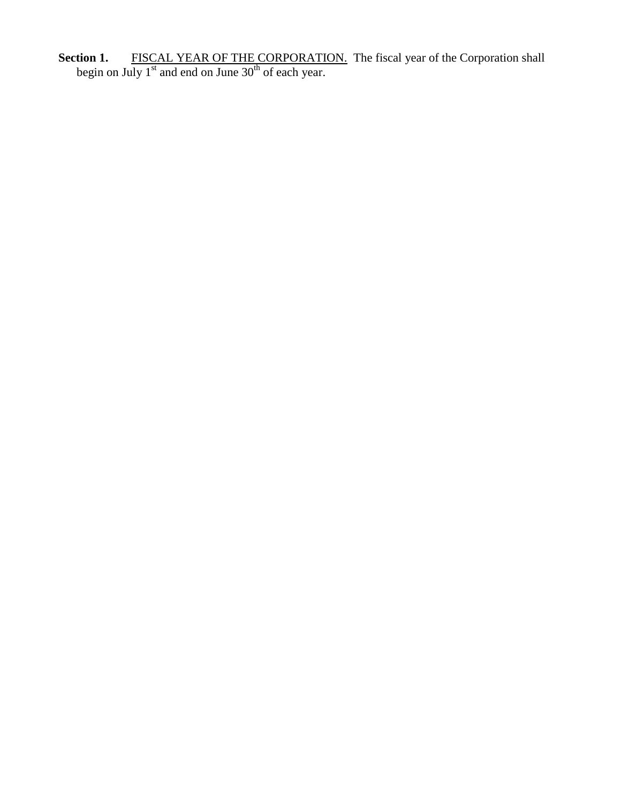**Section 1.** FISCAL YEAR OF THE CORPORATION. The fiscal year of the Corporation shall begin on July  $1^{st}$  and end on June  $30^{th}$  of each year.